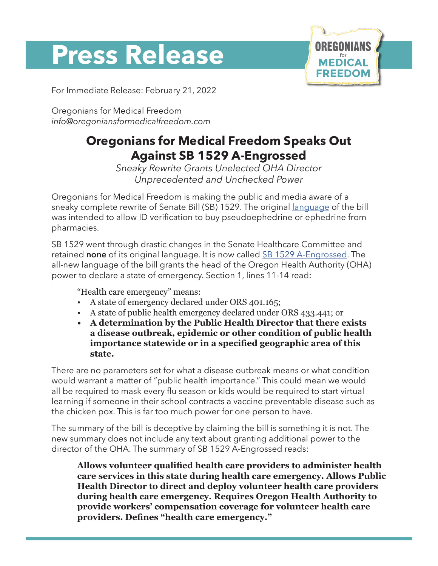# **Press Release**



For Immediate Release: February 21, 2022

Oregonians for Medical Freedom *info@oregoniansformedicalfreedom.com*

## **Oregonians for Medical Freedom Speaks Out Against SB 1529 A-Engrossed**

*Sneaky Rewrite Grants Unelected OHA Director Unprecedented and Unchecked Power*

Oregonians for Medical Freedom is making the public and media aware of a sneaky complete rewrite of Senate Bill (SB) 1529. The original [language](https://olis.oregonlegislature.gov/liz/2022R1/Downloads/MeasureDocument/SB1529/Introduced) of the bill was intended to allow ID verification to buy pseudoephedrine or ephedrine from pharmacies.

SB 1529 went through drastic changes in the Senate Healthcare Committee and retained **none** of its original language. It is now called [SB 1529 A-Engrossed](https://olis.oregonlegislature.gov/liz/2022R1/Downloads/MeasureDocument/SB1529/A-Engrossed). The all-new language of the bill grants the head of the Oregon Health Authority (OHA) power to declare a state of emergency. Section 1, lines 11-14 read:

"Health care emergency" means:

- A state of emergency declared under ORS 401.165;
- A state of public health emergency declared under ORS 433.441; or
- **• A determination by the Public Health Director that there exists a disease outbreak, epidemic or other condition of public health importance statewide or in a specified geographic area of this state.**

There are no parameters set for what a disease outbreak means or what condition would warrant a matter of "public health importance." This could mean we would all be required to mask every flu season or kids would be required to start virtual learning if someone in their school contracts a vaccine preventable disease such as the chicken pox. This is far too much power for one person to have.

The summary of the bill is deceptive by claiming the bill is something it is not. The new summary does not include any text about granting additional power to the director of the OHA. The summary of SB 1529 A-Engrossed reads:

**Allows volunteer qualified health care providers to administer health care services in this state during health care emergency. Allows Public Health Director to direct and deploy volunteer health care providers during health care emergency. Requires Oregon Health Authority to provide workers' compensation coverage for volunteer health care providers. Defines "health care emergency."**